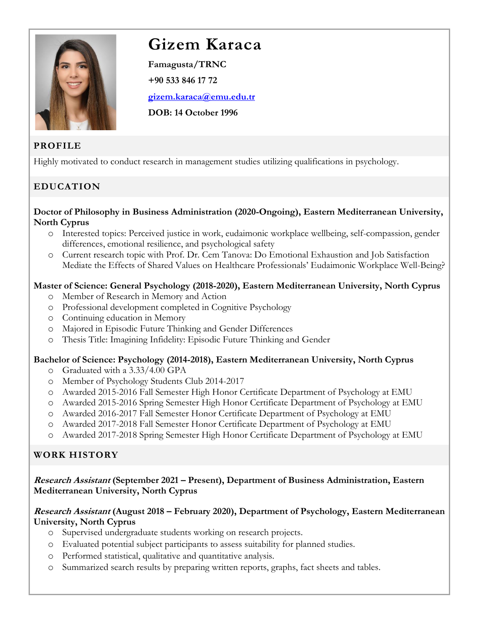

# **Gizem Karaca**

**Famagusta/TRNC +90 533 846 17 72 [gizem.karaca@emu.edu.tr](mailto:gizem.karaca@emu.edu.tr) DOB: 14 October 1996**

# **PROFILE**

Highly motivated to conduct research in management studies utilizing qualifications in psychology.

# **EDUCATION**

#### **Doctor of Philosophy in Business Administration (2020-Ongoing), Eastern Mediterranean University, North Cyprus**

- o Interested topics: Perceived justice in work, eudaimonic workplace wellbeing, self-compassion, gender differences, emotional resilience, and psychological safety
- o Current research topic with Prof. Dr. Cem Tanova: Do Emotional Exhaustion and Job Satisfaction Mediate the Effects of Shared Values on Healthcare Professionals' Eudaimonic Workplace Well-Being?

## **Master of Science: General Psychology (2018-2020), Eastern Mediterranean University, North Cyprus**

- o Member of Research in Memory and Action
- o Professional development completed in Cognitive Psychology
- o Continuing education in Memory
- o Majored in Episodic Future Thinking and Gender Differences
- o Thesis Title: Imagining Infidelity: Episodic Future Thinking and Gender

## **Bachelor of Science: Psychology (2014-2018), Eastern Mediterranean University, North Cyprus**

- o Graduated with a 3.33/4.00 GPA
- o Member of Psychology Students Club 2014-2017
- o Awarded 2015-2016 Fall Semester High Honor Certificate Department of Psychology at EMU
- o Awarded 2015-2016 Spring Semester High Honor Certificate Department of Psychology at EMU
- o Awarded 2016-2017 Fall Semester Honor Certificate Department of Psychology at EMU
- o Awarded 2017-2018 Fall Semester Honor Certificate Department of Psychology at EMU
- o Awarded 2017-2018 Spring Semester High Honor Certificate Department of Psychology at EMU

# **WORK HISTORY**

## **Research Assistant (September 2021 – Present), Department of Business Administration, Eastern Mediterranean University, North Cyprus**

## **Research Assistant (August 2018 – February 2020), Department of Psychology, Eastern Mediterranean University, North Cyprus**

- o Supervised undergraduate students working on research projects.
- o Evaluated potential subject participants to assess suitability for planned studies.
- o Performed statistical, qualitative and quantitative analysis.
- o Summarized search results by preparing written reports, graphs, fact sheets and tables.